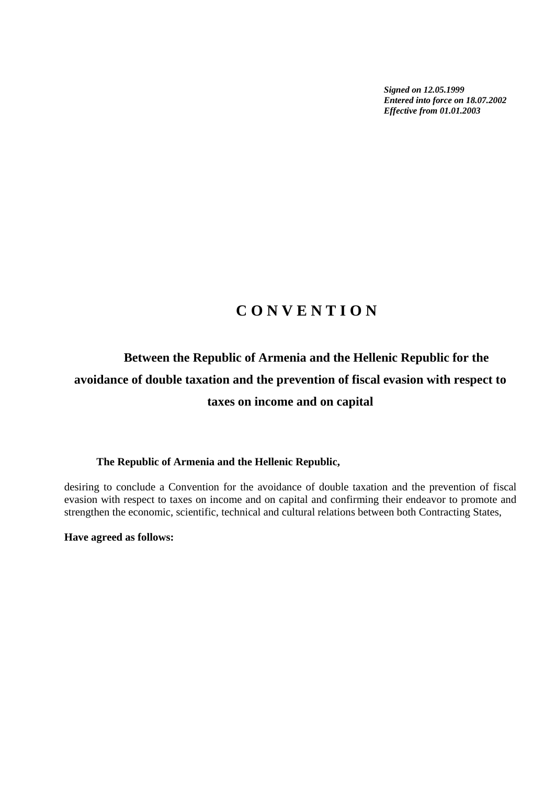*Signed on 12.05.1999 Entered into force on 18.07.2002 Effective from 01.01.2003*

# **C O N V E N T I O N**

# **Between the Republic of Armenia and the Hellenic Republic for the avoidance of double taxation and the prevention of fiscal evasion with respect to taxes on income and on capital**

#### **The Republic of Armenia and the Hellenic Republic,**

desiring to conclude a Convention for the avoidance of double taxation and the prevention of fiscal evasion with respect to taxes on income and on capital and confirming their endeavor to promote and strengthen the economic, scientific, technical and cultural relations between both Contracting States,

**Have agreed as follows:**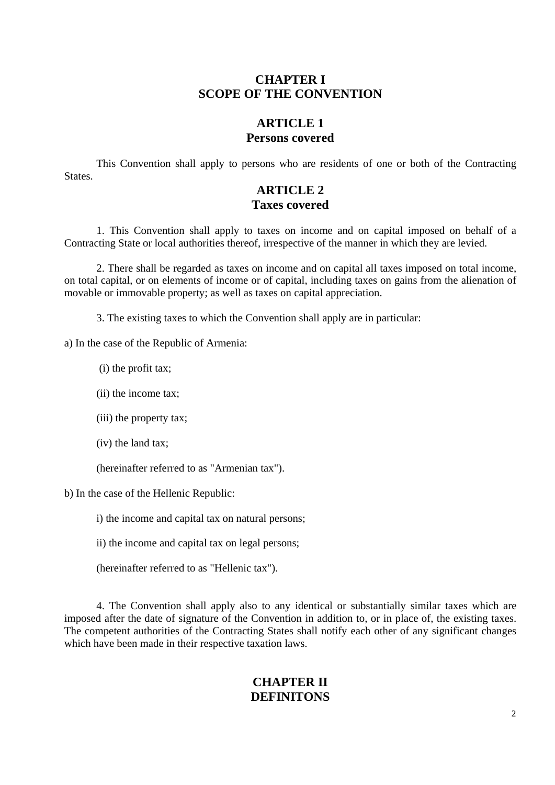# **CHAPTER I SCOPE OF THE CONVENTION**

# **ARTICLE 1 Persons covered**

This Convention shall apply to persons who are residents of one or both of the Contracting **States** 

# **ARTICLE 2 Taxes covered**

1. This Convention shall apply to taxes on income and on capital imposed on behalf of a Contracting State or local authorities thereof, irrespective of the manner in which they are levied.

2. There shall be regarded as taxes on income and on capital all taxes imposed on total income, on total capital, or on elements of income or of capital, including taxes on gains from the alienation of movable or immovable property; as well as taxes on capital appreciation.

3. The existing taxes to which the Convention shall apply are in particular:

a) In the case of the Republic of Armenia:

(i) the profit tax;

(ii) the income tax;

(iii) the property tax;

(iv) the land tax;

(hereinafter referred to as "Armenian tax").

b) In the case of the Hellenic Republic:

i) the income and capital tax on natural persons;

ii) the income and capital tax on legal persons;

(hereinafter referred to as "Hellenic tax").

4. The Convention shall apply also to any identical or substantially similar taxes which are imposed after the date of signature of the Convention in addition to, or in place of, the existing taxes. The competent authorities of the Contracting States shall notify each other of any significant changes which have been made in their respective taxation laws.

# **CHAPTER II DEFINITONS**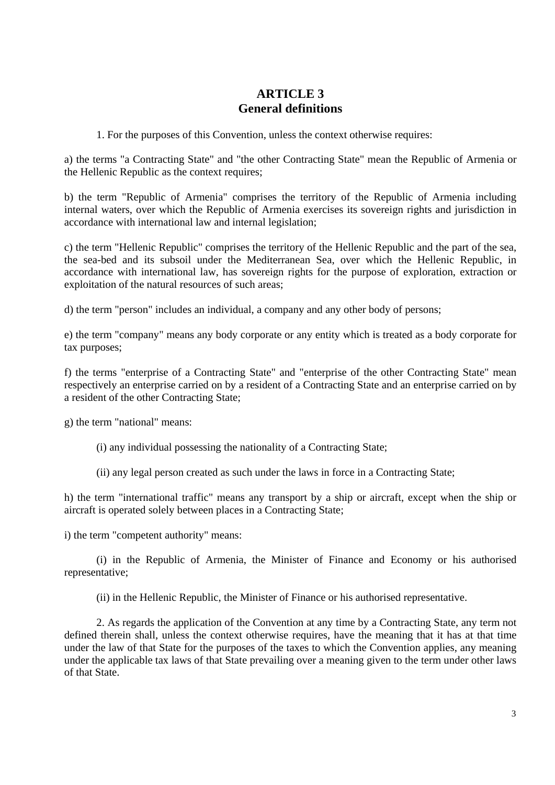# **ARTICLE 3 General definitions**

1. For the purposes of this Convention, unless the context otherwise requires:

a) the terms "a Contracting State" and "the other Contracting State" mean the Republic of Armenia or the Hellenic Republic as the context requires;

b) the term "Republic of Armenia" comprises the territory of the Republic of Armenia including internal waters, over which the Republic of Armenia exercises its sovereign rights and jurisdiction in accordance with international law and internal legislation;

c) the term "Hellenic Republic" comprises the territory of the Hellenic Republic and the part of the sea, the sea-bed and its subsoil under the Mediterranean Sea, over which the Hellenic Republic, in accordance with international law, has sovereign rights for the purpose of exploration, extraction or exploitation of the natural resources of such areas;

d) the term "person" includes an individual, a company and any other body of persons;

e) the term "company" means any body corporate or any entity which is treated as a body corporate for tax purposes;

f) the terms "enterprise of a Contracting State" and "enterprise of the other Contracting State" mean respectively an enterprise carried on by a resident of a Contracting State and an enterprise carried on by a resident of the other Contracting State;

g) the term "national" means:

(i) any individual possessing the nationality of a Contracting State;

(ii) any legal person created as such under the laws in force in a Contracting State;

h) the term "international traffic" means any transport by a ship or aircraft, except when the ship or aircraft is operated solely between places in a Contracting State;

i) the term "competent authority" means:

(i) in the Republic of Armenia, the Minister of Finance and Economy or his authorised representative;

(ii) in the Hellenic Republic, the Minister of Finance or his authorised representative.

2. As regards the application of the Convention at any time by a Contracting State, any term not defined therein shall, unless the context otherwise requires, have the meaning that it has at that time under the law of that State for the purposes of the taxes to which the Convention applies, any meaning under the applicable tax laws of that State prevailing over a meaning given to the term under other laws of that State.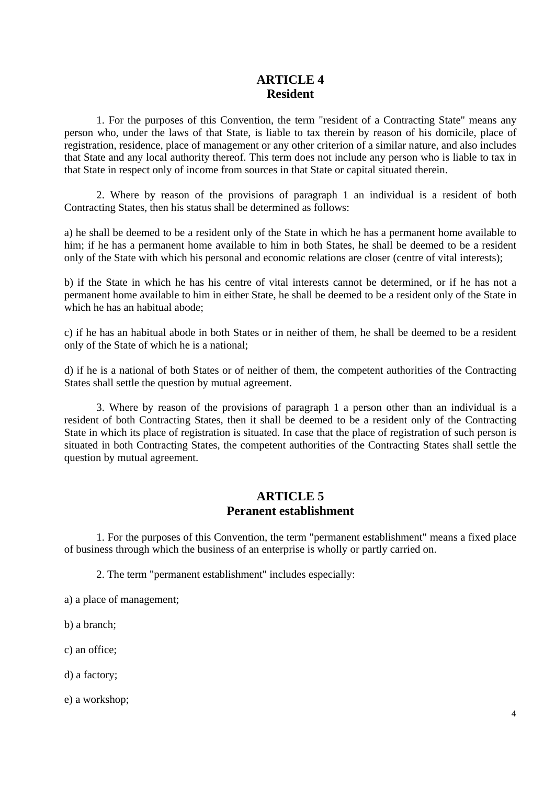# **ARTICLE 4 Resident**

1. For the purposes of this Convention, the term "resident of a Contracting State" means any person who, under the laws of that State, is liable to tax therein by reason of his domicile, place of registration, residence, place of management or any other criterion of a similar nature, and also includes that State and any local authority thereof. This term does not include any person who is liable to tax in that State in respect only of income from sources in that State or capital situated therein.

2. Where by reason of the provisions of paragraph 1 an individual is a resident of both Contracting States, then his status shall be determined as follows:

a) he shall be deemed to be a resident only of the State in which he has a permanent home available to him; if he has a permanent home available to him in both States, he shall be deemed to be a resident only of the State with which his personal and economic relations are closer (centre of vital interests);

b) if the State in which he has his centre of vital interests cannot be determined, or if he has not a permanent home available to him in either State, he shall be deemed to be a resident only of the State in which he has an habitual abode:

c) if he has an habitual abode in both States or in neither of them, he shall be deemed to be a resident only of the State of which he is a national;

d) if he is a national of both States or of neither of them, the competent authorities of the Contracting States shall settle the question by mutual agreement.

3. Where by reason of the provisions of paragraph 1 a person other than an individual is a resident of both Contracting States, then it shall be deemed to be a resident only of the Contracting State in which its place of registration is situated. In case that the place of registration of such person is situated in both Contracting States, the competent authorities of the Contracting States shall settle the question by mutual agreement.

#### **ARTICLE 5 Peranent establishment**

1. For the purposes of this Convention, the term "permanent establishment" means a fixed place of business through which the business of an enterprise is wholly or partly carried on.

2. The term "permanent establishment" includes especially:

- a) a place of management;
- b) a branch;
- c) an office;
- d) a factory;
- e) a workshop;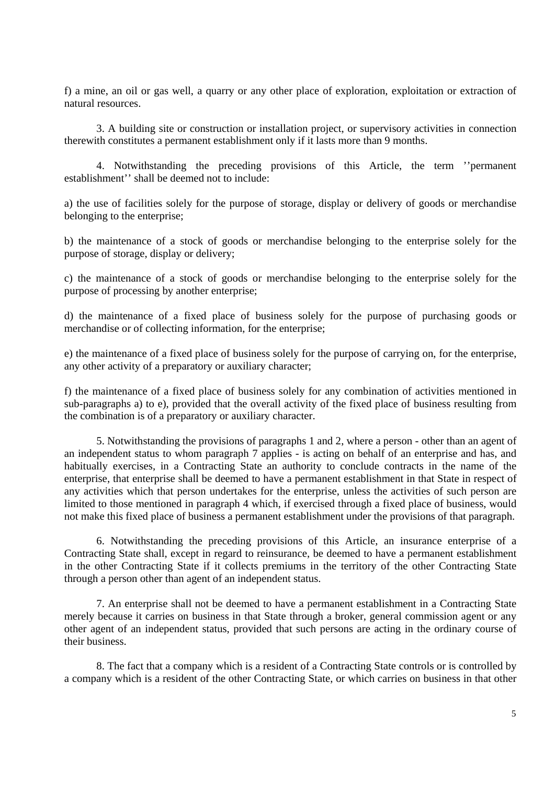f) a mine, an oil or gas well, a quarry or any other place of exploration, exploitation or extraction of natural resources.

3. A building site or construction or installation project, or supervisory activities in connection therewith constitutes a permanent establishment only if it lasts more than 9 months.

4. Notwithstanding the preceding provisions of this Article, the term ''permanent establishment'' shall be deemed not to include:

a) the use of facilities solely for the purpose of storage, display or delivery of goods or merchandise belonging to the enterprise;

b) the maintenance of a stock of goods or merchandise belonging to the enterprise solely for the purpose of storage, display or delivery;

c) the maintenance of a stock of goods or merchandise belonging to the enterprise solely for the purpose of processing by another enterprise;

d) the maintenance of a fixed place of business solely for the purpose of purchasing goods or merchandise or of collecting information, for the enterprise;

e) the maintenance of a fixed place of business solely for the purpose of carrying on, for the enterprise, any other activity of a preparatory or auxiliary character;

f) the maintenance of a fixed place of business solely for any combination of activities mentioned in sub-paragraphs a) to e), provided that the overall activity of the fixed place of business resulting from the combination is of a preparatory or auxiliary character.

5. Notwithstanding the provisions of paragraphs 1 and 2, where a person - other than an agent of an independent status to whom paragraph 7 applies - is acting on behalf of an enterprise and has, and habitually exercises, in a Contracting State an authority to conclude contracts in the name of the enterprise, that enterprise shall be deemed to have a permanent establishment in that State in respect of any activities which that person undertakes for the enterprise, unless the activities of such person are limited to those mentioned in paragraph 4 which, if exercised through a fixed place of business, would not make this fixed place of business a permanent establishment under the provisions of that paragraph.

6. Notwithstanding the preceding provisions of this Article, an insurance enterprise of a Contracting State shall, except in regard to reinsurance, be deemed to have a permanent establishment in the other Contracting State if it collects premiums in the territory of the other Contracting State through a person other than agent of an independent status.

7. An enterprise shall not be deemed to have a permanent establishment in a Contracting State merely because it carries on business in that State through a broker, general commission agent or any other agent of an independent status, provided that such persons are acting in the ordinary course of their business.

8. The fact that a company which is a resident of a Contracting State controls or is controlled by a company which is a resident of the other Contracting State, or which carries on business in that other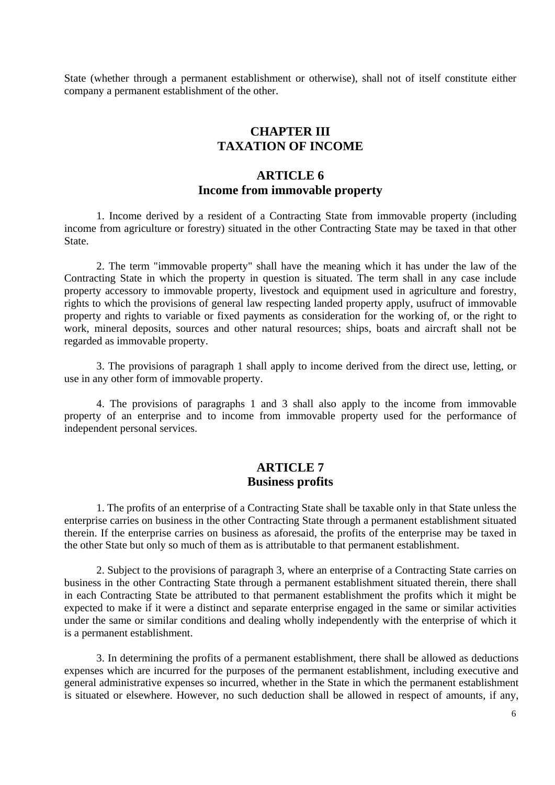State (whether through a permanent establishment or otherwise), shall not of itself constitute either company a permanent establishment of the other.

#### **CHAPTER III TAXATION OF INCOME**

### **ARTICLE 6 Income from immovable property**

1. Income derived by a resident of a Contracting State from immovable property (including income from agriculture or forestry) situated in the other Contracting State may be taxed in that other State.

2. The term "immovable property" shall have the meaning which it has under the law of the Contracting State in which the property in question is situated. The term shall in any case include property accessory to immovable property, livestock and equipment used in agriculture and forestry, rights to which the provisions of general law respecting landed property apply, usufruct of immovable property and rights to variable or fixed payments as consideration for the working of, or the right to work, mineral deposits, sources and other natural resources; ships, boats and aircraft shall not be regarded as immovable property.

3. The provisions of paragraph 1 shall apply to income derived from the direct use, letting, or use in any other form of immovable property.

4. The provisions of paragraphs 1 and 3 shall also apply to the income from immovable property of an enterprise and to income from immovable property used for the performance of independent personal services.

#### **ARTICLE 7 Business profits**

1. The profits of an enterprise of a Contracting State shall be taxable only in that State unless the enterprise carries on business in the other Contracting State through a permanent establishment situated therein. If the enterprise carries on business as aforesaid, the profits of the enterprise may be taxed in the other State but only so much of them as is attributable to that permanent establishment.

2. Subject to the provisions of paragraph 3, where an enterprise of a Contracting State carries on business in the other Contracting State through a permanent establishment situated therein, there shall in each Contracting State be attributed to that permanent establishment the profits which it might be expected to make if it were a distinct and separate enterprise engaged in the same or similar activities under the same or similar conditions and dealing wholly independently with the enterprise of which it is a permanent establishment.

3. In determining the profits of a permanent establishment, there shall be allowed as deductions expenses which are incurred for the purposes of the permanent establishment, including executive and general administrative expenses so incurred, whether in the State in which the permanent establishment is situated or elsewhere. However, no such deduction shall be allowed in respect of amounts, if any,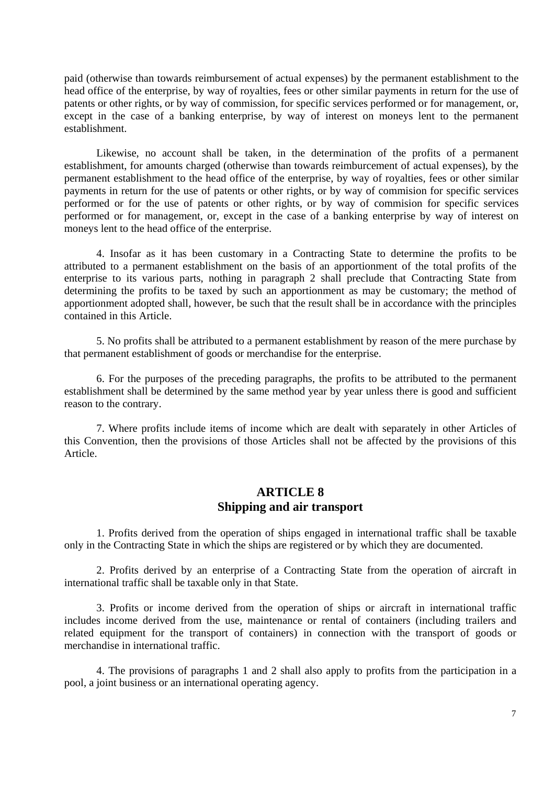paid (otherwise than towards reimbursement of actual expenses) by the permanent establishment to the head office of the enterprise, by way of royalties, fees or other similar payments in return for the use of patents or other rights, or by way of commission, for specific services performed or for management, or, except in the case of a banking enterprise, by way of interest on moneys lent to the permanent establishment.

Likewise, no account shall be taken, in the determination of the profits of a permanent establishment, for amounts charged (otherwise than towards reimburcement of actual expenses), by the permanent establishment to the head office of the enterprise, by way of royalties, fees or other similar payments in return for the use of patents or other rights, or by way of commision for specific services performed or for the use of patents or other rights, or by way of commision for specific services performed or for management, or, except in the case of a banking enterprise by way of interest on moneys lent to the head office of the enterprise.

4. Insofar as it has been customary in a Contracting State to determine the profits to be attributed to a permanent establishment on the basis of an apportionment of the total profits of the enterprise to its various parts, nothing in paragraph 2 shall preclude that Contracting State from determining the profits to be taxed by such an apportionment as may be customary; the method of apportionment adopted shall, however, be such that the result shall be in accordance with the principles contained in this Article.

5. No profits shall be attributed to a permanent establishment by reason of the mere purchase by that permanent establishment of goods or merchandise for the enterprise.

6. For the purposes of the preceding paragraphs, the profits to be attributed to the permanent establishment shall be determined by the same method year by year unless there is good and sufficient reason to the contrary.

7. Where profits include items of income which are dealt with separately in other Articles of this Convention, then the provisions of those Articles shall not be affected by the provisions of this Article.

#### **ARTICLE 8 Shipping and air transport**

1. Profits derived from the operation of ships engaged in international traffic shall be taxable only in the Contracting State in which the ships are registered or by which they are documented.

2. Profits derived by an enterprise of a Contracting State from the operation of aircraft in international traffic shall be taxable only in that State.

3. Profits or income derived from the operation of ships or aircraft in international traffic includes income derived from the use, maintenance or rental of containers (including trailers and related equipment for the transport of containers) in connection with the transport of goods or merchandise in international traffic.

4. The provisions of paragraphs 1 and 2 shall also apply to profits from the participation in a pool, a joint business or an international operating agency.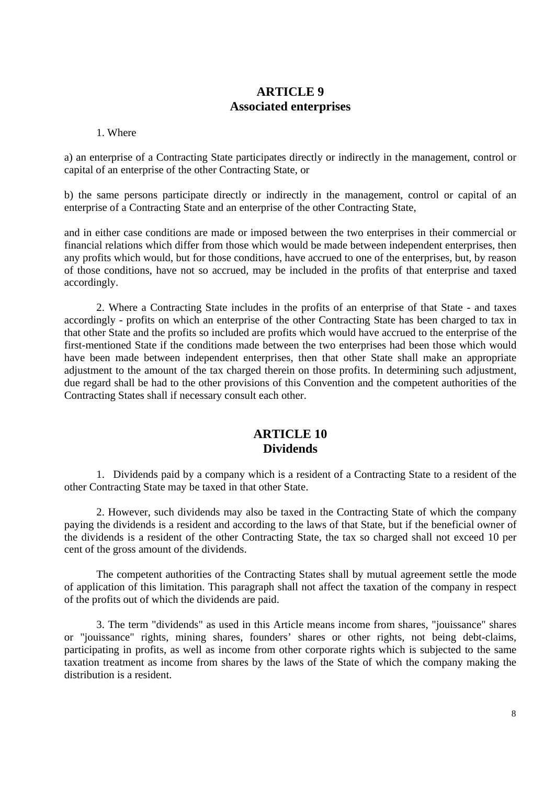# **ARTICLE 9 Associated enterprises**

#### 1. Where

a) an enterprise of a Contracting State participates directly or indirectly in the management, control or capital of an enterprise of the other Contracting State, or

b) the same persons participate directly or indirectly in the management, control or capital of an enterprise of a Contracting State and an enterprise of the other Contracting State,

and in either case conditions are made or imposed between the two enterprises in their commercial or financial relations which differ from those which would be made between independent enterprises, then any profits which would, but for those conditions, have accrued to one of the enterprises, but, by reason of those conditions, have not so accrued, may be included in the profits of that enterprise and taxed accordingly.

2. Where a Contracting State includes in the profits of an enterprise of that State - and taxes accordingly - profits on which an enterprise of the other Contracting State has been charged to tax in that other State and the profits so included are profits which would have accrued to the enterprise of the first-mentioned State if the conditions made between the two enterprises had been those which would have been made between independent enterprises, then that other State shall make an appropriate adjustment to the amount of the tax charged therein on those profits. In determining such adjustment, due regard shall be had to the other provisions of this Convention and the competent authorities of the Contracting States shall if necessary consult each other.

### **ARTICLE 10 Dividends**

1. Dividends paid by a company which is a resident of a Contracting State to a resident of the other Contracting State may be taxed in that other State.

2. However, such dividends may also be taxed in the Contracting State of which the company paying the dividends is a resident and according to the laws of that State, but if the beneficial owner of the dividends is a resident of the other Contracting State, the tax so charged shall not exceed 10 per cent of the gross amount of the dividends.

The competent authorities of the Contracting States shall by mutual agreement settle the mode of application of this limitation. This paragraph shall not affect the taxation of the company in respect of the profits out of which the dividends are paid.

3. The term "dividends" as used in this Article means income from shares, "jouissance" shares or "jouissance" rights, mining shares, founders' shares or other rights, not being debt-claims, participating in profits, as well as income from other corporate rights which is subjected to the same taxation treatment as income from shares by the laws of the State of which the company making the distribution is a resident.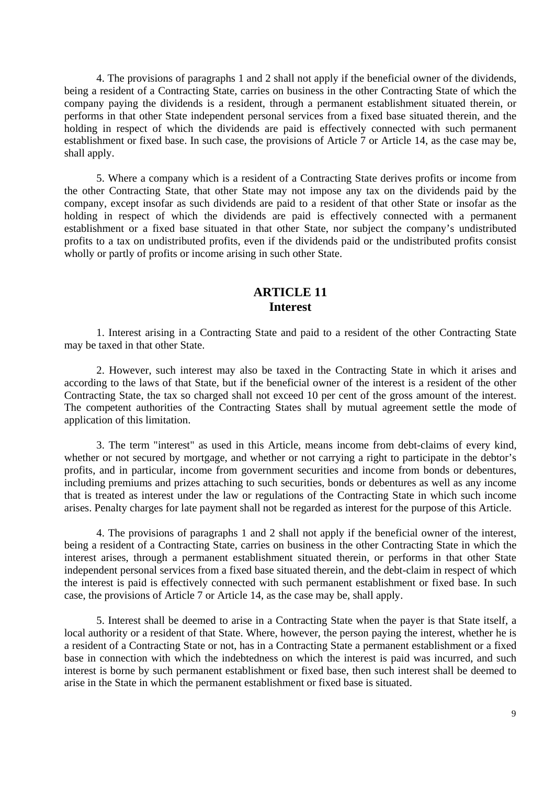4. The provisions of paragraphs 1 and 2 shall not apply if the beneficial owner of the dividends, being a resident of a Contracting State, carries on business in the other Contracting State of which the company paying the dividends is a resident, through a permanent establishment situated therein, or performs in that other State independent personal services from a fixed base situated therein, and the holding in respect of which the dividends are paid is effectively connected with such permanent establishment or fixed base. In such case, the provisions of Article 7 or Article 14, as the case may be, shall apply.

5. Where a company which is a resident of a Contracting State derives profits or income from the other Contracting State, that other State may not impose any tax on the dividends paid by the company, except insofar as such dividends are paid to a resident of that other State or insofar as the holding in respect of which the dividends are paid is effectively connected with a permanent establishment or a fixed base situated in that other State, nor subject the company's undistributed profits to a tax on undistributed profits, even if the dividends paid or the undistributed profits consist wholly or partly of profits or income arising in such other State.

#### **ARTICLE 11 Interest**

1. Interest arising in a Contracting State and paid to a resident of the other Contracting State may be taxed in that other State.

2. However, such interest may also be taxed in the Contracting State in which it arises and according to the laws of that State, but if the beneficial owner of the interest is a resident of the other Contracting State, the tax so charged shall not exceed 10 per cent of the gross amount of the interest. The competent authorities of the Contracting States shall by mutual agreement settle the mode of application of this limitation.

3. The term "interest" as used in this Article, means income from debt-claims of every kind, whether or not secured by mortgage, and whether or not carrying a right to participate in the debtor's profits, and in particular, income from government securities and income from bonds or debentures, including premiums and prizes attaching to such securities, bonds or debentures as well as any income that is treated as interest under the law or regulations of the Contracting State in which such income arises. Penalty charges for late payment shall not be regarded as interest for the purpose of this Article.

4. The provisions of paragraphs 1 and 2 shall not apply if the beneficial owner of the interest, being a resident of a Contracting State, carries on business in the other Contracting State in which the interest arises, through a permanent establishment situated therein, or performs in that other State independent personal services from a fixed base situated therein, and the debt-claim in respect of which the interest is paid is effectively connected with such permanent establishment or fixed base. In such case, the provisions of Article 7 or Article 14, as the case may be, shall apply.

5. Interest shall be deemed to arise in a Contracting State when the payer is that State itself, a local authority or a resident of that State. Where, however, the person paying the interest, whether he is a resident of a Contracting State or not, has in a Contracting State a permanent establishment or a fixed base in connection with which the indebtedness on which the interest is paid was incurred, and such interest is borne by such permanent establishment or fixed base, then such interest shall be deemed to arise in the State in which the permanent establishment or fixed base is situated.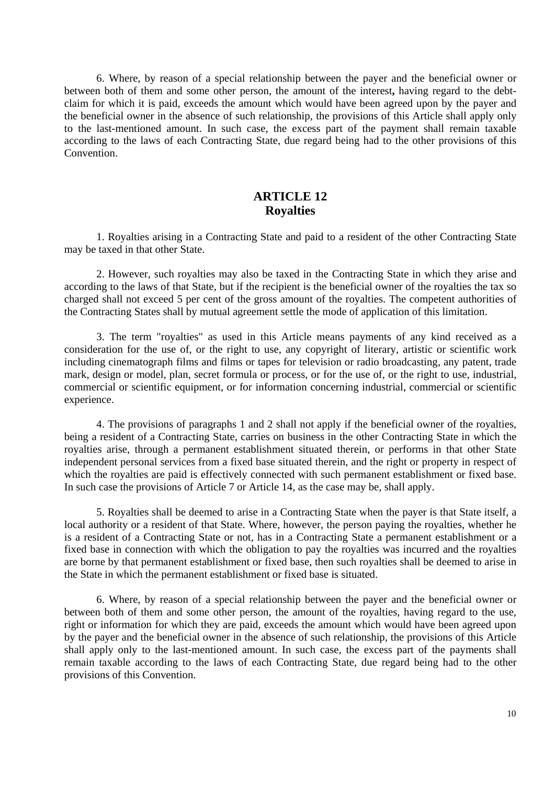6. Where, by reason of a special relationship between the payer and the beneficial owner or between both of them and some other person, the amount of the interest**,** having regard to the debtclaim for which it is paid, exceeds the amount which would have been agreed upon by the payer and the beneficial owner in the absence of such relationship, the provisions of this Article shall apply only to the last-mentioned amount. In such case, the excess part of the payment shall remain taxable according to the laws of each Contracting State, due regard being had to the other provisions of this Convention.

#### **ARTICLE 12 Royalties**

1. Royalties arising in a Contracting State and paid to a resident of the other Contracting State may be taxed in that other State.

2. However, such royalties may also be taxed in the Contracting State in which they arise and according to the laws of that State, but if the recipient is the beneficial owner of the royalties the tax so charged shall not exceed 5 per cent of the gross amount of the royalties. The competent authorities of the Contracting States shall by mutual agreement settle the mode of application of this limitation.

3. The term "royalties" as used in this Article means payments of any kind received as a consideration for the use of, or the right to use, any copyright of literary, artistic or scientific work including cinematograph films and films or tapes for television or radio broadcasting, any patent, trade mark, design or model, plan, secret formula or process, or for the use of, or the right to use, industrial, commercial or scientific equipment, or for information concerning industrial, commercial or scientific experience.

4. The provisions of paragraphs 1 and 2 shall not apply if the beneficial owner of the royalties, being a resident of a Contracting State, carries on business in the other Contracting State in which the royalties arise, through a permanent establishment situated therein, or performs in that other State independent personal services from a fixed base situated therein, and the right or property in respect of which the royalties are paid is effectively connected with such permanent establishment or fixed base. In such case the provisions of Article 7 or Article 14, as the case may be, shall apply.

5. Royalties shall be deemed to arise in a Contracting State when the payer is that State itself, a local authority or a resident of that State. Where, however, the person paying the royalties, whether he is a resident of a Contracting State or not, has in a Contracting State a permanent establishment or a fixed base in connection with which the obligation to pay the royalties was incurred and the royalties are borne by that permanent establishment or fixed base, then such royalties shall be deemed to arise in the State in which the permanent establishment or fixed base is situated.

6. Where, by reason of a special relationship between the payer and the beneficial owner or between both of them and some other person, the amount of the royalties, having regard to the use, right or information for which they are paid, exceeds the amount which would have been agreed upon by the payer and the beneficial owner in the absence of such relationship, the provisions of this Article shall apply only to the last-mentioned amount. In such case, the excess part of the payments shall remain taxable according to the laws of each Contracting State, due regard being had to the other provisions of this Convention.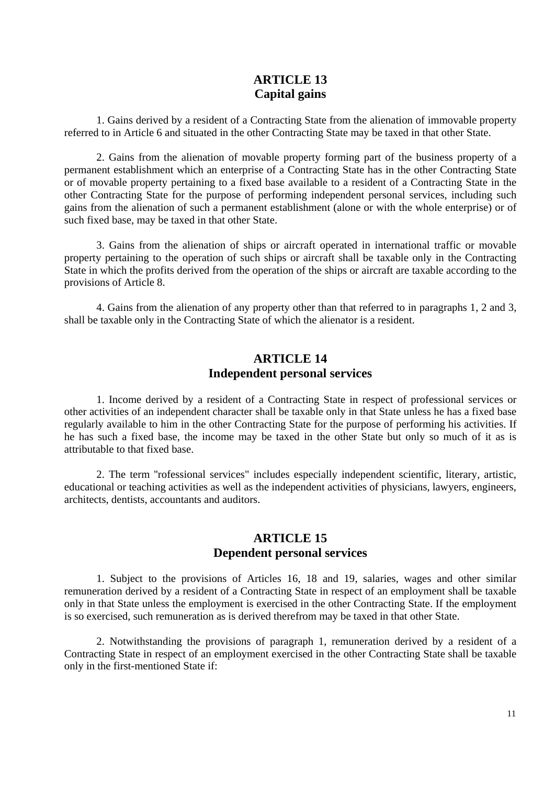# **ARTICLE 13 Capital gains**

1. Gains derived by a resident of a Contracting State from the alienation of immovable property referred to in Article 6 and situated in the other Contracting State may be taxed in that other State.

2. Gains from the alienation of movable property forming part of the business property of a permanent establishment which an enterprise of a Contracting State has in the other Contracting State or of movable property pertaining to a fixed base available to a resident of a Contracting State in the other Contracting State for the purpose of performing independent personal services, including such gains from the alienation of such a permanent establishment (alone or with the whole enterprise) or of such fixed base, may be taxed in that other State.

3. Gains from the alienation of ships or aircraft operated in international traffic or movable property pertaining to the operation of such ships or aircraft shall be taxable only in the Contracting State in which the profits derived from the operation of the ships or aircraft are taxable according to the provisions of Article 8.

4. Gains from the alienation of any property other than that referred to in paragraphs 1, 2 and 3, shall be taxable only in the Contracting State of which the alienator is a resident.

#### **ARTICLE 14 Independent personal services**

1. Income derived by a resident of a Contracting State in respect of professional services or other activities of an independent character shall be taxable only in that State unless he has a fixed base regularly available to him in the other Contracting State for the purpose of performing his activities. If he has such a fixed base, the income may be taxed in the other State but only so much of it as is attributable to that fixed base.

2. The term ''rofessional services" includes especially independent scientific, literary, artistic, educational or teaching activities as well as the independent activities of physicians, lawyers, engineers, architects, dentists, accountants and auditors.

#### **ARTICLE 15 Dependent personal services**

1. Subject to the provisions of Articles 16, 18 and 19, salaries, wages and other similar remuneration derived by a resident of a Contracting State in respect of an employment shall be taxable only in that State unless the employment is exercised in the other Contracting State. If the employment is so exercised, such remuneration as is derived therefrom may be taxed in that other State.

2. Notwithstanding the provisions of paragraph 1, remuneration derived by a resident of a Contracting State in respect of an employment exercised in the other Contracting State shall be taxable only in the first-mentioned State if: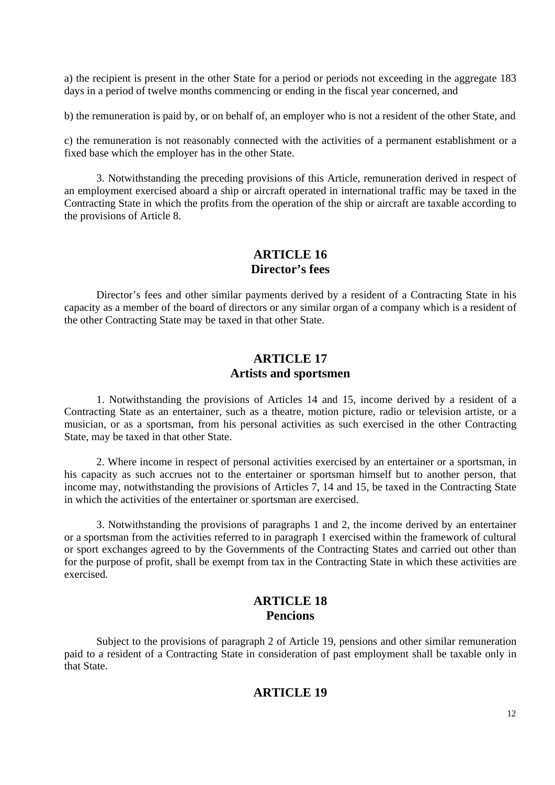a) the recipient is present in the other State for a period or periods not exceeding in the aggregate 183 days in a period of twelve months commencing or ending in the fiscal year concerned, and

b) the remuneration is paid by, or on behalf of, an employer who is not a resident of the other State, and

c) the remuneration is not reasonably connected with the activities of a permanent establishment or a fixed base which the employer has in the other State.

3. Notwithstanding the preceding provisions of this Article, remuneration derived in respect of an employment exercised aboard a ship or aircraft operated in international traffic may be taxed in the Contracting State in which the profits from the operation of the ship or aircraft are taxable according to the provisions of Article 8.

#### **ARTICLE 16 Director's fees**

Director's fees and other similar payments derived by a resident of a Contracting State in his capacity as a member of the board of directors or any similar organ of a company which is a resident of the other Contracting State may be taxed in that other State.

### **ARTICLE 17 Artists and sportsmen**

1. Notwithstanding the provisions of Articles 14 and 15, income derived by a resident of a Contracting State as an entertainer, such as a theatre, motion picture, radio or television artiste, or a musician, or as a sportsman, from his personal activities as such exercised in the other Contracting State, may be taxed in that other State.

2. Where income in respect of personal activities exercised by an entertainer or a sportsman, in his capacity as such accrues not to the entertainer or sportsman himself but to another person, that income may, notwithstanding the provisions of Articles 7, 14 and 15, be taxed in the Contracting State in which the activities of the entertainer or sportsman are exercised.

3. Notwithstanding the provisions of paragraphs 1 and 2, the income derived by an entertainer or a sportsman from the activities referred to in paragraph 1 exercised within the framework of cultural or sport exchanges agreed to by the Governments of the Contracting States and carried out other than for the purpose of profit, shall be exempt from tax in the Contracting State in which these activities are exercised.

#### **ARTICLE 18 Pencions**

Subject to the provisions of paragraph 2 of Article 19, pensions and other similar remuneration paid to a resident of a Contracting State in consideration of past employment shall be taxable only in that State.

#### **ARTICLE 19**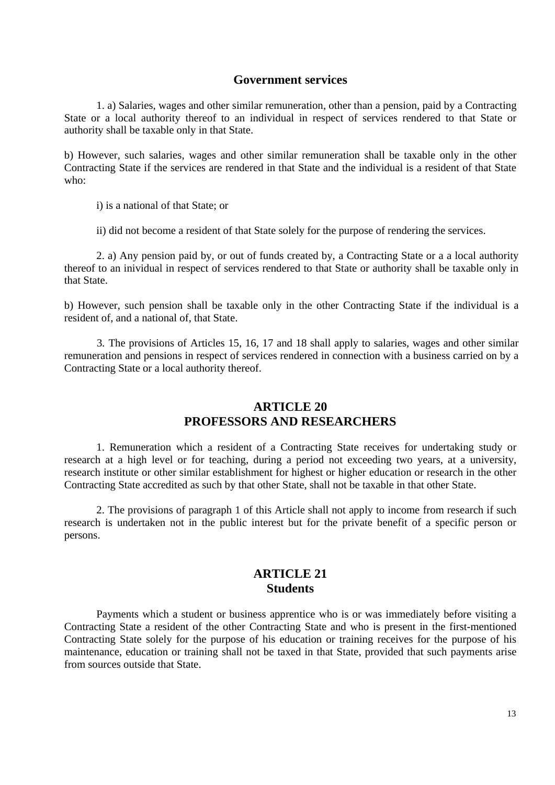#### **Government services**

1. a) Salaries, wages and other similar remuneration, other than a pension, paid by a Contracting State or a local authority thereof to an individual in respect of services rendered to that State or authority shall be taxable only in that State.

b) However, such salaries, wages and other similar remuneration shall be taxable only in the other Contracting State if the services are rendered in that State and the individual is a resident of that State who:

i) is a national of that State; or

ii) did not become a resident of that State solely for the purpose of rendering the services.

2. a) Any pension paid by, or out of funds created by, a Contracting State or a a local authority thereof to an inividual in respect of services rendered to that State or authority shall be taxable only in that State.

b) However, such pension shall be taxable only in the other Contracting State if the individual is a resident of, and a national of, that State.

 3*.* The provisions of Articles 15, 16, 17 and 18 shall apply to salaries, wages and other similar remuneration and pensions in respect of services rendered in connection with a business carried on by a Contracting State or a local authority thereof.

# **ARTICLE 20 PROFESSORS AND RESEARCHERS**

1. Remuneration which a resident of a Contracting State receives for undertaking study or research at a high level or for teaching, during a period not exceeding two years, at a university, research institute or other similar establishment for highest or higher education or research in the other Contracting State accredited as such by that other State, shall not be taxable in that other State.

2. The provisions of paragraph 1 of this Article shall not apply to income from research if such research is undertaken not in the public interest but for the private benefit of a specific person or persons.

#### **ARTICLE 21 Students**

Payments which a student or business apprentice who is or was immediately before visiting a Contracting State a resident of the other Contracting State and who is present in the first-mentioned Contracting State solely for the purpose of his education or training receives for the purpose of his maintenance, education or training shall not be taxed in that State, provided that such payments arise from sources outside that State.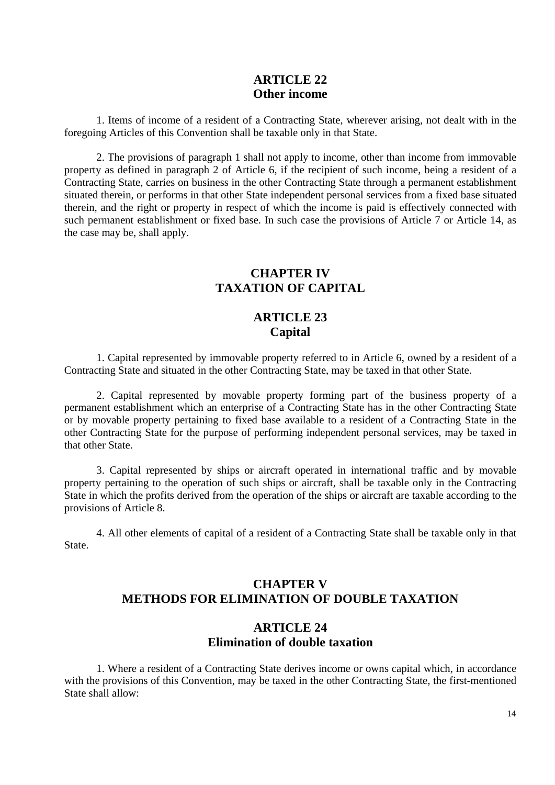# **ARTICLE 22 Other income**

1. Items of income of a resident of a Contracting State, wherever arising, not dealt with in the foregoing Articles of this Convention shall be taxable only in that State.

2. The provisions of paragraph 1 shall not apply to income, other than income from immovable property as defined in paragraph 2 of Article 6, if the recipient of such income, being a resident of a Contracting State, carries on business in the other Contracting State through a permanent establishment situated therein, or performs in that other State independent personal services from a fixed base situated therein, and the right or property in respect of which the income is paid is effectively connected with such permanent establishment or fixed base. In such case the provisions of Article 7 or Article 14, as the case may be, shall apply.

# **CHAPTER IV TAXATION OF CAPITAL**

#### **ARTICLE 23 Capital**

1. Capital represented by immovable property referred to in Article 6, owned by a resident of a Contracting State and situated in the other Contracting State, may be taxed in that other State.

2. Capital represented by movable property forming part of the business property of a permanent establishment which an enterprise of a Contracting State has in the other Contracting State or by movable property pertaining to fixed base available to a resident of a Contracting State in the other Contracting State for the purpose of performing independent personal services, may be taxed in that other State.

3. Capital represented by ships or aircraft operated in international traffic and by movable property pertaining to the operation of such ships or aircraft, shall be taxable only in the Contracting State in which the profits derived from the operation of the ships or aircraft are taxable according to the provisions of Article 8.

4. All other elements of capital of a resident of a Contracting State shall be taxable only in that State.

# **CHAPTER V METHODS FOR ELIMINATION OF DOUBLE TAXATION**

# **ARTICLE 24 Elimination of double taxation**

1. Where a resident of a Contracting State derives income or owns capital which, in accordance with the provisions of this Convention, may be taxed in the other Contracting State, the first-mentioned State shall allow: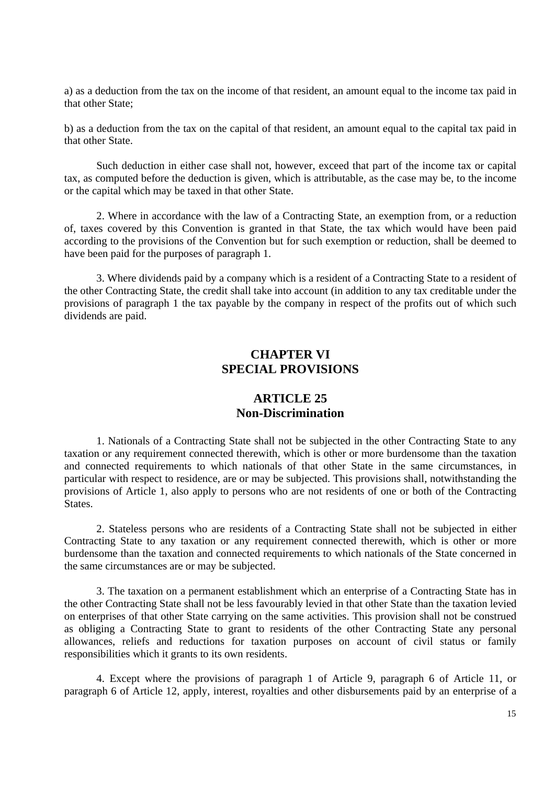a) as a deduction from the tax on the income of that resident, an amount equal to the income tax paid in that other State;

b) as a deduction from the tax on the capital of that resident, an amount equal to the capital tax paid in that other State.

Such deduction in either case shall not, however, exceed that part of the income tax or capital tax, as computed before the deduction is given, which is attributable, as the case may be, to the income or the capital which may be taxed in that other State.

2. Where in accordance with the law of a Contracting State, an exemption from, or a reduction of, taxes covered by this Convention is granted in that State, the tax which would have been paid according to the provisions of the Convention but for such exemption or reduction, shall be deemed to have been paid for the purposes of paragraph 1.

3. Where dividends paid by a company which is a resident of a Contracting State to a resident of the other Contracting State, the credit shall take into account (in addition to any tax creditable under the provisions of paragraph 1 the tax payable by the company in respect of the profits out of which such dividends are paid.

# **CHAPTER VI SPECIAL PROVISIONS**

#### **ARTICLE 25 Non-Discrimination**

1. Nationals of a Contracting State shall not be subjected in the other Contracting State to any taxation or any requirement connected therewith, which is other or more burdensome than the taxation and connected requirements to which nationals of that other State in the same circumstances, in particular with respect to residence, are or may be subjected. This provisions shall, notwithstanding the provisions of Article 1, also apply to persons who are not residents of one or both of the Contracting States.

2. Stateless persons who are residents of a Contracting State shall not be subjected in either Contracting State to any taxation or any requirement connected therewith, which is other or more burdensome than the taxation and connected requirements to which nationals of the State concerned in the same circumstances are or may be subjected.

3. The taxation on a permanent establishment which an enterprise of a Contracting State has in the other Contracting State shall not be less favourably levied in that other State than the taxation levied on enterprises of that other State carrying on the same activities. This provision shall not be construed as obliging a Contracting State to grant to residents of the other Contracting State any personal allowances, reliefs and reductions for taxation purposes on account of civil status or family responsibilities which it grants to its own residents.

4. Except where the provisions of paragraph 1 of Article 9, paragraph 6 of Article 11, or paragraph 6 of Article 12, apply, interest, royalties and other disbursements paid by an enterprise of a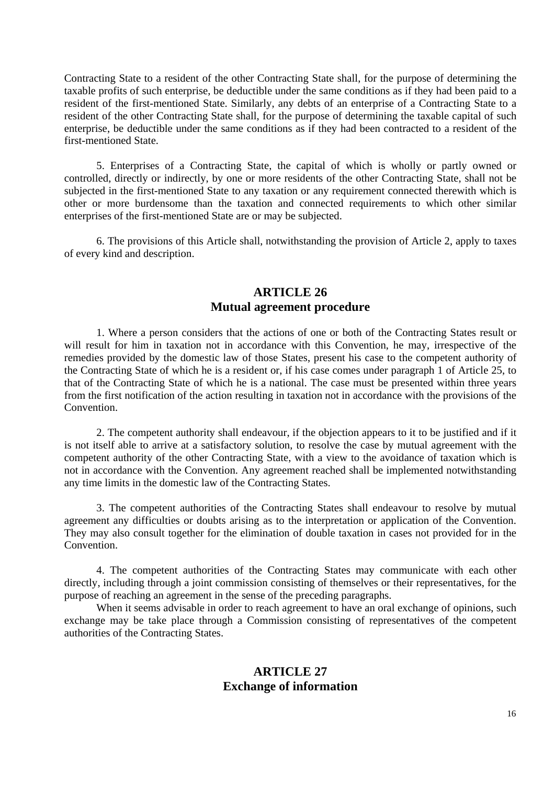Contracting State to a resident of the other Contracting State shall, for the purpose of determining the taxable profits of such enterprise, be deductible under the same conditions as if they had been paid to a resident of the first-mentioned State. Similarly, any debts of an enterprise of a Contracting State to a resident of the other Contracting State shall, for the purpose of determining the taxable capital of such enterprise, be deductible under the same conditions as if they had been contracted to a resident of the first-mentioned State.

5. Enterprises of a Contracting State, the capital of which is wholly or partly owned or controlled, directly or indirectly, by one or more residents of the other Contracting State, shall not be subjected in the first-mentioned State to any taxation or any requirement connected therewith which is other or more burdensome than the taxation and connected requirements to which other similar enterprises of the first-mentioned State are or may be subjected.

6. The provisions of this Article shall, notwithstanding the provision of Article 2, apply to taxes of every kind and description.

### **ARTICLE 26 Mutual agreement procedure**

1. Where a person considers that the actions of one or both of the Contracting States result or will result for him in taxation not in accordance with this Convention, he may, irrespective of the remedies provided by the domestic law of those States, present his case to the competent authority of the Contracting State of which he is a resident or, if his case comes under paragraph 1 of Article 25, to that of the Contracting State of which he is a national. The case must be presented within three years from the first notification of the action resulting in taxation not in accordance with the provisions of the Convention.

2. The competent authority shall endeavour, if the objection appears to it to be justified and if it is not itself able to arrive at a satisfactory solution, to resolve the case by mutual agreement with the competent authority of the other Contracting State, with a view to the avoidance of taxation which is not in accordance with the Convention. Any agreement reached shall be implemented notwithstanding any time limits in the domestic law of the Contracting States.

3. The competent authorities of the Contracting States shall endeavour to resolve by mutual agreement any difficulties or doubts arising as to the interpretation or application of the Convention. They may also consult together for the elimination of double taxation in cases not provided for in the Convention.

4. The competent authorities of the Contracting States may communicate with each other directly, including through a joint commission consisting of themselves or their representatives, for the purpose of reaching an agreement in the sense of the preceding paragraphs.

When it seems advisable in order to reach agreement to have an oral exchange of opinions, such exchange may be take place through a Commission consisting of representatives of the competent authorities of the Contracting States.

# **ARTICLE 27 Exchange of information**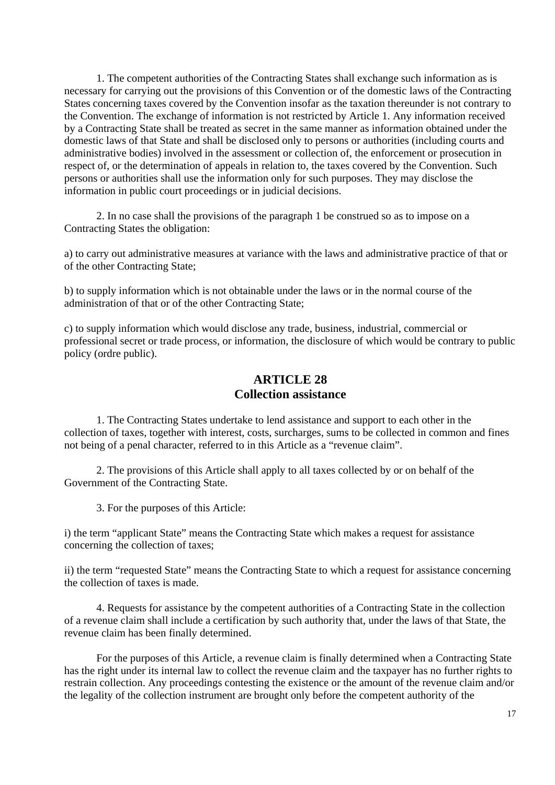1. The competent authorities of the Contracting States shall exchange such information as is necessary for carrying out the provisions of this Convention or of the domestic laws of the Contracting States concerning taxes covered by the Convention insofar as the taxation thereunder is not contrary to the Convention. The exchange of information is not restricted by Article 1. Any information received by a Contracting State shall be treated as secret in the same manner as information obtained under the domestic laws of that State and shall be disclosed only to persons or authorities (including courts and administrative bodies) involved in the assessment or collection of, the enforcement or prosecution in respect of, or the determination of appeals in relation to, the taxes covered by the Convention. Such persons or authorities shall use the information only for such purposes. They may disclose the information in public court proceedings or in judicial decisions.

2. In no case shall the provisions of the paragraph 1 be construed so as to impose on a Contracting States the obligation:

a) to carry out administrative measures at variance with the laws and administrative practice of that or of the other Contracting State;

b) to supply information which is not obtainable under the laws or in the normal course of the administration of that or of the other Contracting State;

c) to supply information which would disclose any trade, business, industrial, commercial or professional secret or trade process, or information, the disclosure of which would be contrary to public policy (ordre public).

# **ARTICLE 28 Collection assistance**

1. The Contracting States undertake to lend assistance and support to each other in the collection of taxes, together with interest, costs, surcharges, sums to be collected in common and fines not being of a penal character, referred to in this Article as a "revenue claim".

2. The provisions of this Article shall apply to all taxes collected by or on behalf of the Government of the Contracting State.

3. For the purposes of this Article:

i) the term "applicant State" means the Contracting State which makes a request for assistance concerning the collection of taxes;

ii) the term "requested State" means the Contracting State to which a request for assistance concerning the collection of taxes is made.

4. Requests for assistance by the competent authorities of a Contracting State in the collection of a revenue claim shall include a certification by such authority that, under the laws of that State, the revenue claim has been finally determined.

For the purposes of this Article, a revenue claim is finally determined when a Contracting State has the right under its internal law to collect the revenue claim and the taxpayer has no further rights to restrain collection. Any proceedings contesting the existence or the amount of the revenue claim and/or the legality of the collection instrument are brought only before the competent authority of the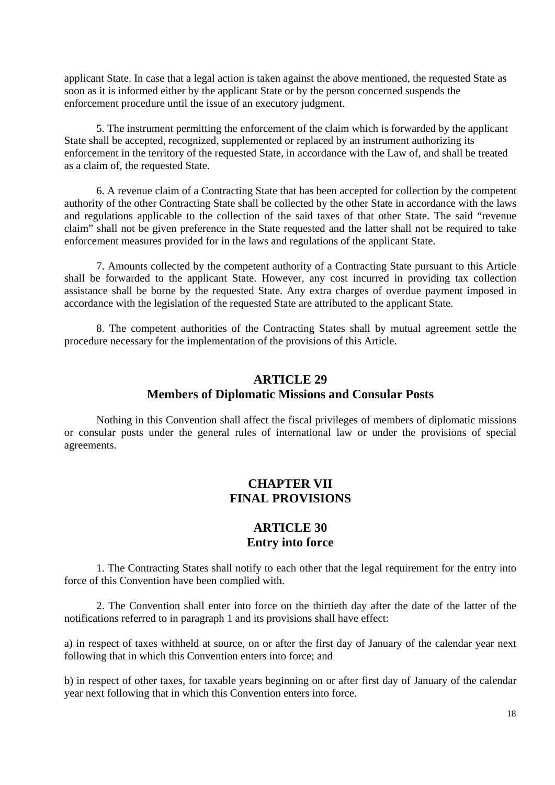applicant State. In case that a legal action is taken against the above mentioned, the requested State as soon as it is informed either by the applicant State or by the person concerned suspends the enforcement procedure until the issue of an executory judgment.

5. The instrument permitting the enforcement of the claim which is forwarded by the applicant State shall be accepted, recognized, supplemented or replaced by an instrument authorizing its enforcement in the territory of the requested State, in accordance with the Law of, and shall be treated as a claim of, the requested State.

6. A revenue claim of a Contracting State that has been accepted for collection by the competent authority of the other Contracting State shall be collected by the other State in accordance with the laws and regulations applicable to the collection of the said taxes of that other State. The said "revenue claim" shall not be given preference in the State requested and the latter shall not be required to take enforcement measures provided for in the laws and regulations of the applicant State.

7. Amounts collected by the competent authority of a Contracting State pursuant to this Article shall be forwarded to the applicant State. However, any cost incurred in providing tax collection assistance shall be borne by the requested State. Any extra charges of overdue payment imposed in accordance with the legislation of the requested State are attributed to the applicant State.

8. The competent authorities of the Contracting States shall by mutual agreement settle the procedure necessary for the implementation of the provisions of this Article.

# **ARTICLE 29 Members of Diplomatic Missions and Consular Posts**

Nothing in this Convention shall affect the fiscal privileges of members of diplomatic missions or consular posts under the general rules of international law or under the provisions of special agreements.

# **CHAPTER VII FINAL PROVISIONS**

# **ARTICLE 30 Entry into force**

1. The Contracting States shall notify to each other that the legal requirement for the entry into force of this Convention have been complied with.

2. The Convention shall enter into force on the thirtieth day after the date of the latter of the notifications referred to in paragraph 1 and its provisions shall have effect:

a) in respect of taxes withheld at source, on or after the first day of January of the calendar year next following that in which this Convention enters into force; and

b) in respect of other taxes, for taxable years beginning on or after first day of January of the calendar year next following that in which this Convention enters into force.